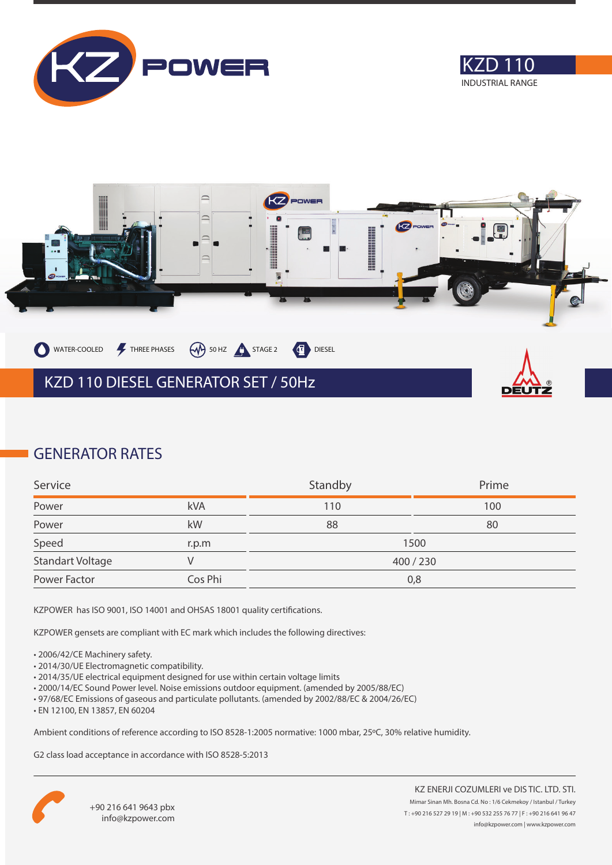





## **GENERATOR RATES**

| Service                 |            | Standby   | Prime |
|-------------------------|------------|-----------|-------|
| Power                   | <b>kVA</b> | 110       | 100   |
| Power                   | kW         | 88        | 80    |
| Speed                   | r.p.m      |           | 1500  |
| <b>Standart Voltage</b> |            | 400 / 230 |       |
| Power Factor            | Cos Phi    | 0,8       |       |

KZPOWER has ISO 9001, ISO 14001 and OHSAS 18001 quality certifications.

KZPOWER gensets are compliant with EC mark which includes the following directives:

- 2006/42/CE Machinery safety.
- 2014/30/UE Electromagnetic compatibility.
- 2014/35/UE electrical equipment designed for use within certain voltage limits
- 2000/14/EC Sound Power level. Noise emissions outdoor equipment. (amended by 2005/88/EC)
- 97/68/EC Emissions of gaseous and particulate pollutants. (amended by 2002/88/EC & 2004/26/EC)
- EN 12100, EN 13857, EN 60204

Ambient conditions of reference according to ISO 8528-1:2005 normative: 1000 mbar, 25ºC, 30% relative humidity.

G2 class load acceptance in accordance with ISO 8528-5:2013

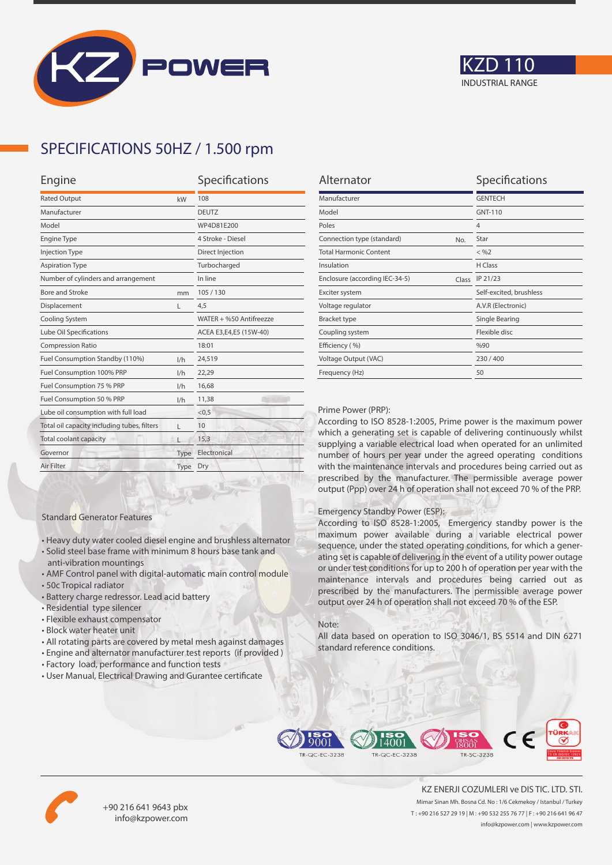



## **SPECIFICATIONS 50HZ / 1.500 rpm**

| Engine                                      |      | Specifications          |  |
|---------------------------------------------|------|-------------------------|--|
| <b>Rated Output</b><br>kW                   |      | 108                     |  |
| Manufacturer                                |      | <b>DEUTZ</b>            |  |
| Model                                       |      | WP4D81E200              |  |
| <b>Engine Type</b>                          |      | 4 Stroke - Diesel       |  |
| <b>Injection Type</b>                       |      | Direct Injection        |  |
| <b>Aspiration Type</b>                      |      | Turbocharged            |  |
| Number of cylinders and arrangement         |      | In line                 |  |
| <b>Bore and Stroke</b>                      | mm   | 105/130                 |  |
| Displacement                                | L    | 4,5                     |  |
| Cooling System                              |      | WATER + %50 Antifreezze |  |
| Lube Oil Specifications                     |      | ACEA E3,E4,E5 (15W-40)  |  |
| <b>Compression Ratio</b>                    |      | 18:01                   |  |
| Fuel Consumption Standby (110%)             | 1/h  | 24,519                  |  |
| Fuel Consumption 100% PRP                   | 1/h  | 22,29                   |  |
| Fuel Consumption 75 % PRP                   | 1/h  | 16,68                   |  |
| Fuel Consumption 50 % PRP<br>1/h            |      | 11,38                   |  |
| Lube oil consumption with full load         |      | < 0, 5                  |  |
| Total oil capacity including tubes, filters | г    | 10                      |  |
| Total coolant capacity                      |      | 15,3                    |  |
| Governor                                    | Type | Electronical            |  |
| Air Filter                                  | Type | Dry                     |  |
|                                             |      |                         |  |

| Alternator                              | Specifications          |  |
|-----------------------------------------|-------------------------|--|
| Manufacturer                            | <b>GENTECH</b>          |  |
| Model                                   | GNT-110                 |  |
| Poles                                   | $\overline{4}$          |  |
| Connection type (standard)<br>No.       | Star                    |  |
| <b>Total Harmonic Content</b>           | $<$ %2                  |  |
| Insulation                              | H Class                 |  |
| Enclosure (according IEC-34-5)<br>Class | IP 21/23                |  |
| Exciter system                          | Self-excited, brushless |  |
| Voltage regulator                       | A.V.R (Electronic)      |  |
| <b>Bracket type</b>                     | Single Bearing          |  |
| Coupling system                         | Flexible disc           |  |
| Efficiency (%)                          | %90                     |  |
| Voltage Output (VAC)                    | 230/400                 |  |
| Frequency (Hz)                          | 50                      |  |

#### Prime Power (PRP):

According to ISO 8528-1:2005, Prime power is the maximum power which a generating set is capable of delivering continuously whilst supplying a variable electrical load when operated for an unlimited number of hours per year under the agreed operating conditions with the maintenance intervals and procedures being carried out as prescribed by the manufacturer. The permissible average power output (Ppp) over 24 h of operation shall not exceed 70 % of the PRP.

#### Emergency Standby Power (ESP):

According to ISO 8528-1:2005, Emergency standby power is the maximum power available during a variable electrical power sequence, under the stated operating conditions, for which a generating set is capable of delivering in the event of a utility power outage or under test conditions for up to 200 h of operation per year with the maintenance intervals and procedures being carried out as prescribed by the manufacturers. The permissible average power output over 24 h of operation shall not exceed 70 % of the ESP.

#### Note:

All data based on operation to ISO 3046/1, BS 5514 and DIN 6271 standard reference conditions.



• All rotating parts are covered by metal mesh against damages • Engine and alternator manufacturer test reports (if provided )

• Heavy duty water cooled diesel engine and brushless alternator • Solid steel base frame with minimum 8 hours base tank and

• AMF Control panel with digital-automatic main control module

Standard Generator Features

anti-vibration mountings

• Residential type silencer • Flexible exhaust compensator • Block water heater unit

• Battery charge redressor. Lead acid battery

• 50c Tropical radiator

• User Manual, Electrical Drawing and Gurantee certificate





+90 216 641 9643 pbx info@kzpower.com

KZ ENERJI COZUMLERI ve DIS TIC. LTD. STI. Mimar Sinan Mh. Bosna Cd. No : 1/6 Cekmekoy / Istanbul / Turkey T : +90 216 527 29 19 | M : +90 532 255 76 77 | F : +90 216 641 96 47 info@kzpower.com | www.kzpower.com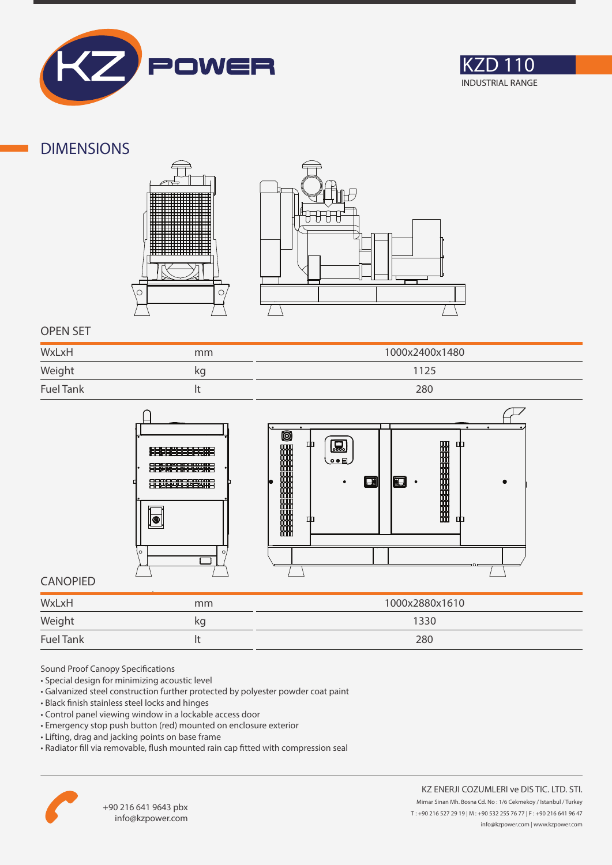



### **DIMENSIONS**





### **OPEN SET**

| WxLxH            | mm | 1000x2400x1480 |
|------------------|----|----------------|
| Weight           | κg | 1125           |
| <b>Fuel Tank</b> |    | 280            |



### **CANOPIED**

| WxLxH                                               | mm | 1000x2880x1610 |
|-----------------------------------------------------|----|----------------|
| Weight<br>the control of the control of the control | kg | 1330           |
| <b>Fuel Tank</b>                                    |    | 280            |

Sound Proof Canopy Specifications

- Special design for minimizing acoustic level
- Galvanized steel construction further protected by polyester powder coat paint
- Black finish stainless steel locks and hinges
- Control panel viewing window in a lockable access door
- Emergency stop push button (red) mounted on enclosure exterior
- Lifting, drag and jacking points on base frame
- Radiator fill via removable, flush mounted rain cap fitted with compression seal